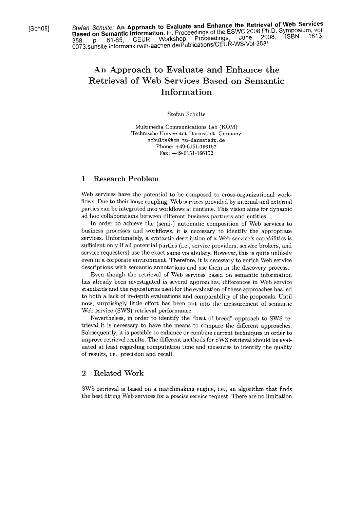[Sch08] Stefan *Schulte;* **An Approach to Evaluate and Enhance the Retrieval of Web Services Based on Semantic Information.** In: Proceedings of the ESWC 2008 Ph.D. Symposium, vol. 358. p. 61-65, CEUR Workshop Proceedings. June 2008 ISBN 1613- 0073.sunsite.informatik.mth-aachen.delPublicationslCEUR-WSNol-3581.

# An Approach to Evaluate and Enhance the Retrieval of Web Services Based on Semantic Information

#### Stefan Schulte

Multimedia Communications Lab (KOM) Technische Universität Darmstadt, Germany **schulteQkom.tu-darmstadt.de**  Phone: +49-6151-166187 Fax: +49-6151-166152

### 1 Research Problem

Web services have the potential to be composed to cross-organizational workflows. Due to their loose coupling, Web services provided by internal and external parties can be integrated into workflows at runtime. This vision aims for dynamic ad hoc collaborations between different business partners and entities.

In order to achieve the (semi-) automatic composition of Web services to business processes and workflows, it is ncccssary to identify the appropriate services. Unfortunately, a syntactic description of a Web service's capabilities is sufficient only if all potential parties (i.e., service providers, service brokers, and service requesters) use the exact same vocabulary. However, this is quite unlikely even in a corporate environment. Therefore, it is necessary to enrich Web service descriptions with semantic annotations and use them in the discovery process.

Even though the retrieval of Web services based on semantic information has already been investigated in several approaches, differences in Web service standards and the repositories used for the evaluation of these approaches has led to both a lack of in-depth evaluations and comparability of the proposals. Until now, surprisingly little effort has been put into the measurement of semantic Web service (SWS) retrieval performance.

Nevertheless, in order to identify the "best of breed"-approach to SWS retrieval it is necessary to have the means to compare the different approaches. Subsequently, it is possible to enhance or combine current techniques in order to improve retrieval results. The different methods for SWS retrieval should be evaluated at least regarding computation time and measures to identify the quality of results, i.e., precision and recall.

## 2 Related Work

SWS retrieval is based on a matchmaking engine, i.e., an algorithm that finds the best fitting Web services for a precise service request. There are no limitation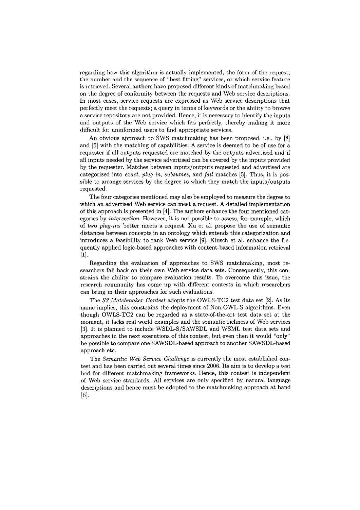regarding how this algorithm is actually implemented, the form of the request, the number and the sequence of "best fitting" services, or which service feature is retrieved. Several authors have proposed different kinds of matchmaking based on the degree of conformity between the requests and Web service descriptions. In most cases, service requests are expressed as Web service descriptions that perfectly meet the requests; a query in terms of keywords or the ability to browse a service repository are not provided. Hence, it is necessary to identify the inputs and outputs of the Web service which fits perfectly, thereby making it more difficult for uninformed users to find appropriate services.

An obvious approach to SWS matchmaking has been proposed, i.e., by [8] and [5] with the matching of capabilities: A service is deemed to be of use for a requester if all outputs requested are matched by the outputs advertised and if all inputs needed by the service advertised can be covered by the inputs provided by the requester. Matches between inputs/outputs requested and advertised are categorized into exact, plug in, subsumes, and fail matches [5]. Thus, it is possible to arrange services by the degree to which they match the inputs/outputs requested.

The four categories mentioned may also be employed to measure the degree to which an advertised Web service can meet a request. A detailed implementation of this approach is presented in [4]. The authors enhance the four mentioned categories by *intersection*. However, it is not possible to assess, for example, which of two plug-ins better meets a request. Xu et al. propose the use of semantic distances between concepts in an ontology which extends this categorization and introduces a feasibility to rank Web service [9]. Klusch et al. enhance the frequently applied logic-based approaches with content-based information retrieval  $[1].$ 

Regarding the evaluation of approaches to SWS matchmaking, most researchers fall back on their own Web service data sets. Consequently, this constrains the ability to compare evaluation results. To overcome this issue, the research community has come up with different contests in which researchers can bring in their approaches for such evaluations.

The S3 Matchmaker Contest adopts the OWLS-TC2 test data set [2]. As its name implies, this constrains the deployment of Non-OWL-S algorithms. Even though OWLS-TC2 can be regarded as a state-of-the-art test data set at the moment, it lacks real world examples and the semantic richness of Web services **[3].** It is planned to include WSDL-S/SAWSDL and WSML test data sets and approaches in the next executions of this contest, but even then it would "only" be possible to compare one SAWSDL-based approach to another SAWSDL-based approach etc.

The Semantic Web Service Challenge is currently the most established contest and has been carried out several times since 2006. Its aim is to develop a test bed for different matchmaking frameworks. Hence, this contest is independent of Web service standards. All scrvices are only spccificd by natural language descriptions and hence must be adopted to the matchmaking approach at hand  $[6]$ .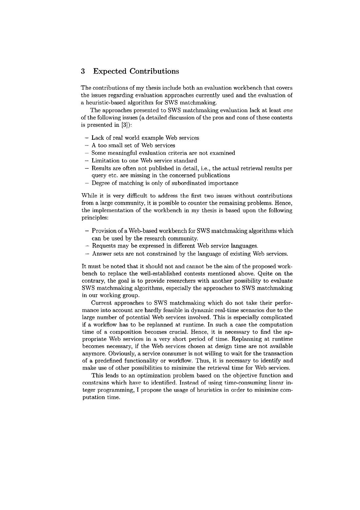## **3 Expected** Contributions

The contributions of my thesis include both an evaluation workbench that covers the issues regarding evaluation approaches currently used and the evaluation of a heuristic-based algorithm for SWS matchmaking.

The approaches presented to SWS matchmaking evaluation lack at least one of the following issues (a detailed discussion of the pros and cons of these contests is presented in **[3]):** 

- Lack of real world example Web services
- A too small set of Web services
- Some meaningfiil evaluation criteria are not examined
- Limitation to one Web service standard
- Results are often not published in detail, i.e., the actual retrieval results per query etc. are missing in the concerned publications
- Degree of matching is only of subordinated importance

While it is very difficult to address the first two issues without contributions from a large community, it is possible to counter the remaining problems. Hence, the implementation of the workbench in my thesis is based upon the following principles:

- Provision of a Web-based workbench for SWS matchmaking algorithms which can be used by the research community.
- Requests may be expressed in different Web service languages.
- Answer sets are not constrained by the language of existing Web services.

It must be noted that it should not and cannot be the aim of the proposed workbench to replace the well-established contests mentioned above. Quite on the contrary, the goal is to provide researchers with another possibility to evaluate SWS matchmaking algorithms, especially the approaches to SWS matchrnaking in our working group.

Current approaches to SWS matchmaking which do not take their performance into account are hardly feasible in dynamic real-time scenarios due to the large number of potential Web services involved. This is especially complicated if a workflow has to be replanned at runtime. In such a case the computation time of a composition becomes crucial. Hence, it is necessary to find the appropriate Web services in a very short period of time. Replanning at runtime becomes necessary, if the Web services chosen at design time are not available anymore. Obviously, a service consumer is not willing to wait for the transaction of a predefined functionality or workflow. Thus, it is necessary to identify and make use of other possibilities to minimize the retrieval time for Web services.

This leads to an optimization problem based on the objective function and constrains which have to identified. Instead of using time-consuming linear integer programming, I propose the usage of heuristics in order to minimize computation time.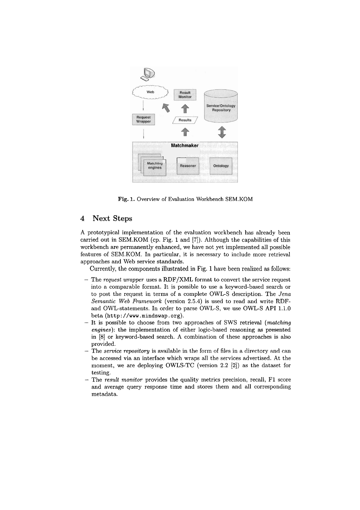

**Fig.** 1. Overview of Evaluation Workhench SEM.KOM

#### **4 Next Steps**

A prototypical implementation of the evaluation workbench has already been carried out in SEM.KOM (cp. Fig. 1 and [7]). Although the capabilities of this workbench are permanently enhanced, we have not yet implemented all possible features of SEM.KOM. In particular, it is necessary to include more retrieval approaches and Web service standards.

Currently, the components illustrated in Fig. 1 have been realized as follows:

- The request wrapper uses a RDF/XML format to convert the service request into a comparable format. It is possible to use a keyword-based search or to post the request in terms of a complete OWL-S description. The Jena Semantic Web Framework (version 2.5.4) is used to read and write RDFand OWL-statements. In order to parse OWL-S, we use OWL-S API 1.1.0 beta (http : **//www** . **mindswap** . **org).**
- It is possible to choose from two approaches of SWS retrieval (matching engines): the implementation of either logic-based reasoning **as** presented in [8] or keyword-based search. A combination of these approaches is also provided.
- The *service repository* is available in the form of files in a directory and can be accessed via an interface which wraps all the services advertised. At the moment, we are deploying OWLS-TC (version 2.2 [2]) as the dataset for testing.
- The result monitor provides the quality metrics precision, recall, F1 score and average query response time and stores them and all corresponding metadata.